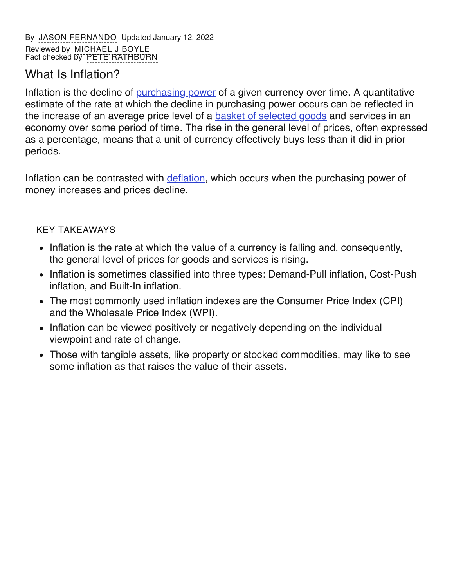# What Is Inflation?

Inflation is the decline of [purchasing](https://www.investopedia.com/terms/p/purchasingpower.asp) power of a given currency over time. A quantitative estimate of the rate at which the decline in purchasing power occurs can be reflected in the increase of an average price level of a **basket of [selected](https://www.investopedia.com/terms/b/basket_of_goods.asp) goods** and services in an economy over some period of time. The rise in the general level of prices, often expressed as a percentage, means that a unit of currency effectively buys less than it did in prior periods.

Inflation can be contrasted with *[deflation](https://www.investopedia.com/terms/d/deflation.asp)*, which occurs when the purchasing power of money increases and prices decline.

### KEY TAKEAWAYS

- Inflation is the rate at which the value of a currency is falling and, consequently, the general level of prices for goods and services is rising.
- Inflation is sometimes classified into three types: Demand-Pull inflation, Cost-Push inflation, and Built-In inflation.
- The most commonly used inflation indexes are the Consumer Price Index (CPI) and the Wholesale Price Index (WPI).
- Inflation can be viewed positively or negatively depending on the individual viewpoint and rate of change.
- Those with tangible assets, like property or stocked commodities, may like to see some inflation as that raises the value of their assets.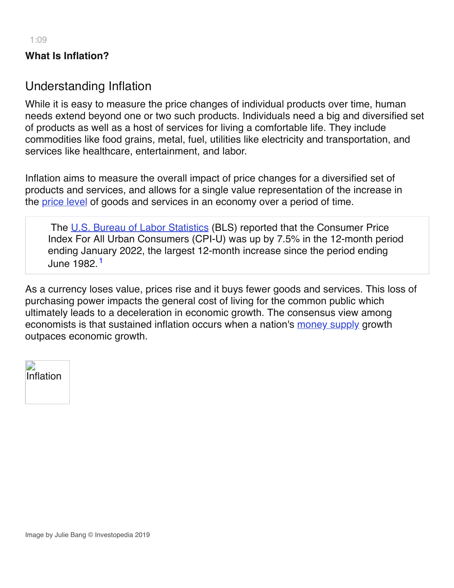### **What Is Inflation?**

### Understanding Inflation

While it is easy to measure the price changes of individual products over time, human needs extend beyond one or two such products. Individuals need a big and diversified set of products as well as a host of services for living a comfortable life. They include commodities like food grains, metal, fuel, utilities like electricity and transportation, and services like healthcare, entertainment, and labor.

Inflation aims to measure the overall impact of price changes for a diversified set of products and services, and allows for a single value representation of the increase in the [price](https://www.investopedia.com/terms/p/price_level.asp) level of goods and services in an economy over a period of time.

The U.S. Bureau of Labor [Statistics](https://www.investopedia.com/terms/b/bls.asp) (BLS) reported that the Consumer Price Index For All Urban Consumers (CPI-U) was up by 7.5% in the 12-month period ending January 2022, the largest 12-month increase since the period ending June 1982. 1

As a currency loses value, prices rise and it buys fewer goods and services. This loss of purchasing power impacts the general cost of living for the common public which ultimately leads to a deceleration in economic growth. The consensus view among economists is that sustained inflation occurs when a nation's [money](https://www.investopedia.com/terms/m/moneysupply.asp) supply growth outpaces economic growth.

| Inflation |
|-----------|
|           |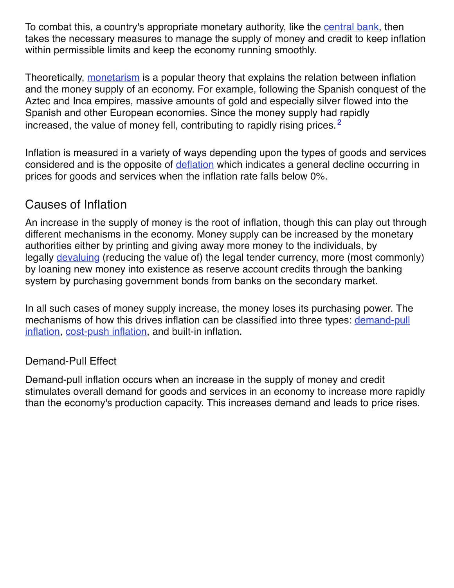To combat this, a country's appropriate monetary authority, like the [central](https://www.investopedia.com/terms/c/centralbank.asp) bank, then takes the necessary measures to manage the supply of money and credit to keep inflation within permissible limits and keep the economy running smoothly.

Theoretically, [monetarism](https://www.investopedia.com/terms/m/monetarism.asp) is a popular theory that explains the relation between inflation and the money supply of an economy. For example, following the Spanish conquest of the Aztec and Inca empires, massive amounts of gold and especially silver flowed into the Spanish and other European economies. Since the money supply had rapidly increased, the value of money fell, contributing to rapidly rising prices.<sup>2</sup>

Inflation is measured in a variety of ways depending upon the types of goods and services considered and is the opposite of [deflation](https://www.investopedia.com/articles/personal-finance/030915/why-deflation-bad-economy.asp) which indicates a general decline occurring in prices for goods and services when the inflation rate falls below 0%.

# Causes of Inflation

An increase in the supply of money is the root of inflation, though this can play out through different mechanisms in the economy. Money supply can be increased by the monetary authorities either by printing and giving away more money to the individuals, by legally [devaluing](https://www.investopedia.com/terms/d/devaluation.asp) (reducing the value of) the legal tender currency, more (most commonly) by loaning new money into existence as reserve account credits through the banking system by purchasing government bonds from banks on the secondary market.

In all such cases of money supply increase, the money loses its purchasing power. The [mechanisms](https://www.investopedia.com/terms/d/demandpullinflation.asp) of how this drives inflation can be classified into three types: demand-pull inflation, [cost-push](https://www.investopedia.com/terms/c/costpushinflation.asp) inflation, and built-in inflation.

### Demand-Pull Effect

Demand-pull inflation occurs when an increase in the supply of money and credit stimulates overall demand for goods and services in an economy to increase more rapidly than the economy's production capacity. This increases demand and leads to price rises.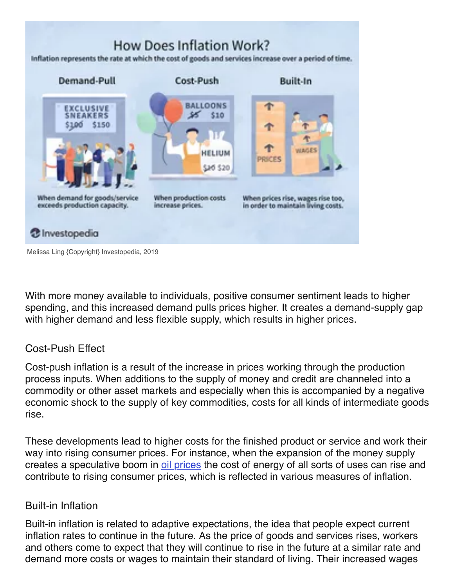# How Does Inflation Work?

Inflation represents the rate at which the cost of goods and services increase over a period of time.



Melissa Ling {Copyright} Investopedia, 2019

With more money available to individuals, positive consumer sentiment leads to higher spending, and this increased demand pulls prices higher. It creates a demand-supply gap with higher demand and less flexible supply, which results in higher prices.

### Cost-Push Effect

Cost-push inflation is a result of the increase in prices working through the production process inputs. When additions to the supply of money and credit are channeled into a commodity or other asset markets and especially when this is accompanied by a negative economic shock to the supply of key commodities, costs for all kinds of intermediate goods rise.

These developments lead to higher costs for the finished product or service and work their way into rising consumer prices. For instance, when the expansion of the money supply creates a speculative boom in oil [prices](https://www.investopedia.com/articles/active-trading/102214/economics-oil-extraction.asp) the cost of energy of all sorts of uses can rise and contribute to rising consumer prices, which is reflected in various measures of inflation.

#### Built-in Inflation

Built-in inflation is related to adaptive expectations, the idea that people expect current inflation rates to continue in the future. As the price of goods and services rises, workers and others come to expect that they will continue to rise in the future at a similar rate and demand more costs or wages to maintain their standard of living. Their increased wages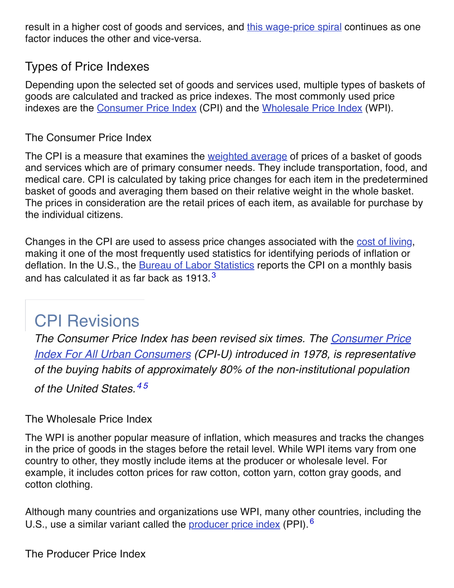result in a higher cost of goods and services, and this [wage-price](https://www.investopedia.com/terms/w/wage-price-spiral.asp) spiral continues as one factor induces the other and vice-versa.

# Types of Price Indexes

Depending upon the selected set of goods and services used, multiple types of baskets of goods are calculated and tracked as price indexes. The most commonly used price indexes are the [Consumer](https://www.investopedia.com/terms/c/consumerpriceindex.asp#ixzz5V28O2AIS) Price Index (CPI) and the [Wholesale](https://www.investopedia.com/terms/w/wpi.asp#ixzz5V28lNo3H) Price Index (WPI).

### The Consumer Price Index

The CPI is a measure that examines the [weighted](https://www.investopedia.com/terms/w/weightedaverage.asp) average of prices of a basket of goods and services which are of primary consumer needs. They include transportation, food, and medical care. CPI is calculated by taking price changes for each item in the predetermined basket of goods and averaging them based on their relative weight in the whole basket. The prices in consideration are the retail prices of each item, as available for purchase by the individual citizens.

Changes in the CPI are used to assess price changes associated with the cost of [living](https://www.investopedia.com/terms/c/cost-of-living.asp), making it one of the most frequently used statistics for identifying periods of inflation or deflation. In the U.S., the **Bureau of Labor [Statistics](https://www.investopedia.com/terms/b/bls.asp)** reports the CPI on a monthly basis and has calculated it as far back as 1913. $^3$ 

# CPI Revisions

*The Consumer Price Index has been revised six times. The Consumer Price Index For All Urban Consumers (CPI-U) introduced in 1978, is [representative](https://www.investopedia.com/terms/c/cpiu.asp) of the buying habits of approximately 80% of the non-institutional population of the United States. 4 5*

The Wholesale Price Index

The WPI is another popular measure of inflation, which measures and tracks the changes in the price of goods in the stages before the retail level. While WPI items vary from one country to other, they mostly include items at the producer or wholesale level. For example, it includes cotton prices for raw cotton, cotton yarn, cotton gray goods, and cotton clothing.

Although many countries and organizations use WPI, many other countries, including the U.S., use a similar variant called the [producer](https://www.investopedia.com/terms/p/ppi.asp) price index (PPI).<sup>6</sup>

The Producer Price Index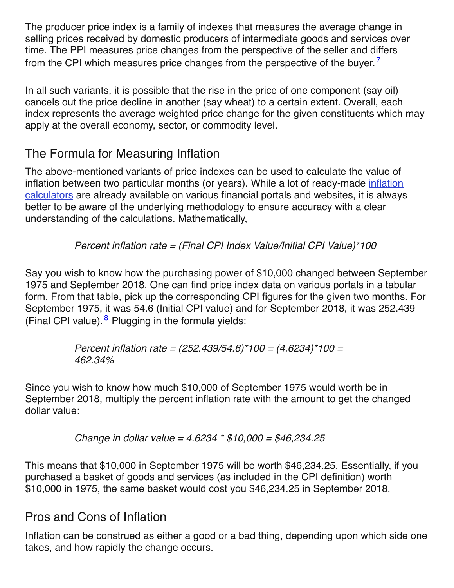The producer price index is a family of indexes that measures the average change in selling prices received by domestic producers of intermediate goods and services over time. The PPI measures price changes from the perspective of the seller and differs from the CPI which measures price changes from the perspective of the buyer.<sup>7</sup>

In all such variants, it is possible that the rise in the price of one component (say oil) cancels out the price decline in another (say wheat) to a certain extent. Overall, each index represents the average weighted price change for the given constituents which may apply at the overall economy, sector, or commodity level.

# The Formula for Measuring Inflation

The above-mentioned variants of price indexes can be used to calculate the value of inflation between two particular months (or years). While a lot of [ready-made](https://data.bls.gov/cgi-bin/cpicalc.pl) inflation calculators are already available on various financial portals and websites, it is always better to be aware of the underlying methodology to ensure accuracy with a clear understanding of the calculations. Mathematically,

### *Percent inflation rate = (Final CPI Index Value/Initial CPI Value)\*100*

Say you wish to know how the purchasing power of \$10,000 changed between September 1975 and September 2018. One can find price index data on various portals in a tabular form. From that table, pick up the corresponding CPI figures for the given two months. For September 1975, it was 54.6 (Initial CPI value) and for September 2018, it was 252.439 (Final CPI value). <sup>8</sup> Plugging in the formula yields:

> *Percent inflation rate = (252.439/54.6)\*100 = (4.6234)\*100 = 462.34%*

Since you wish to know how much \$10,000 of September 1975 would worth be in September 2018, multiply the percent inflation rate with the amount to get the changed dollar value:

*Change in dollar value = 4.6234 \* \$10,000 = \$46,234.25*

This means that \$10,000 in September 1975 will be worth \$46,234.25. Essentially, if you purchased a basket of goods and services (as included in the CPI definition) worth \$10,000 in 1975, the same basket would cost you \$46,234.25 in September 2018.

# Pros and Cons of Inflation

Inflation can be construed as either a good or a bad thing, depending upon which side one takes, and how rapidly the change occurs.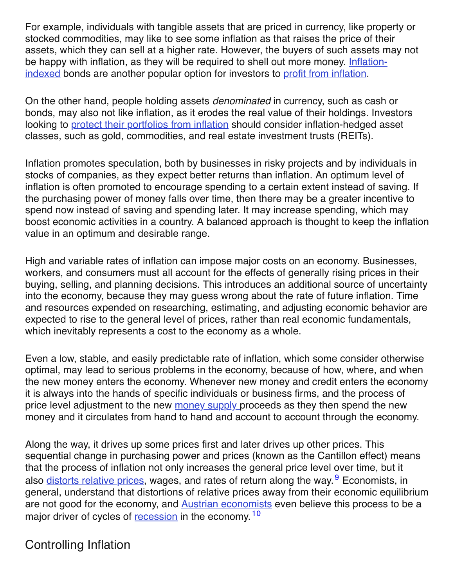For example, individuals with tangible assets that are priced in currency, like property or stocked commodities, may like to see some inflation as that raises the price of their assets, which they can sell at a higher rate. However, the buyers of such assets may not be happy with inflation, as they will be required to shell out more money. Inflationindexed bonds are another popular option for [investors](https://www.investopedia.com/terms/i/inflation-indexedsecurity.asp) to profit from [inflation](https://www.investopedia.com/articles/investing/080813/how-profit-inflation.asp).

On the other hand, people holding assets *denominated* in currency, such as cash or bonds, may also not like inflation, as it erodes the real value of their holdings. Investors looking to protect their [portfolios](https://www.investopedia.com/articles/investing/081315/9-top-assets-protection-against-inflation.asp) from inflation should consider inflation-hedged asset classes, such as gold, commodities, and real estate investment trusts (REITs).

Inflation promotes speculation, both by businesses in risky projects and by individuals in stocks of companies, as they expect better returns than inflation. An optimum level of inflation is often promoted to encourage spending to a certain extent instead of saving. If the purchasing power of money falls over time, then there may be a greater incentive to spend now instead of saving and spending later. It may increase spending, which may boost economic activities in a country. A balanced approach is thought to keep the inflation value in an optimum and desirable range.

High and variable rates of inflation can impose major costs on an economy. Businesses, workers, and consumers must all account for the effects of generally rising prices in their buying, selling, and planning decisions. This introduces an additional source of uncertainty into the economy, because they may guess wrong about the rate of future inflation. Time and resources expended on researching, estimating, and adjusting economic behavior are expected to rise to the general level of prices, rather than real economic fundamentals, which inevitably represents a cost to the economy as a whole.

Even a low, stable, and easily predictable rate of inflation, which some consider otherwise optimal, may lead to serious problems in the economy, because of how, where, and when the new money enters the economy. Whenever new money and credit enters the economy it is always into the hands of specific individuals or business firms, and the process of price level adjustment to the new [money](https://www.investopedia.com/terms/m/moneysupply.asp) supply proceeds as they then spend the new money and it circulates from hand to hand and account to account through the economy.

Along the way, it drives up some prices first and later drives up other prices. This sequential change in purchasing power and prices (known as the Cantillon effect) means that the process of inflation not only increases the general price level over time, but it also distorts [relative](https://www.investopedia.com/terms/m/marketdistortion.asp) prices, wages, and rates of return along the way. <sup>9</sup> Economists, in general, understand that distortions of relative prices away from their economic equilibrium are not good for the economy, and **Austrian [economists](https://www.investopedia.com/terms/a/austrian_school.asp)** even believe this process to be a major driver of cycles of [recession](https://www.investopedia.com/terms/r/recession.asp) in the economy.<sup>10</sup>

# Controlling Inflation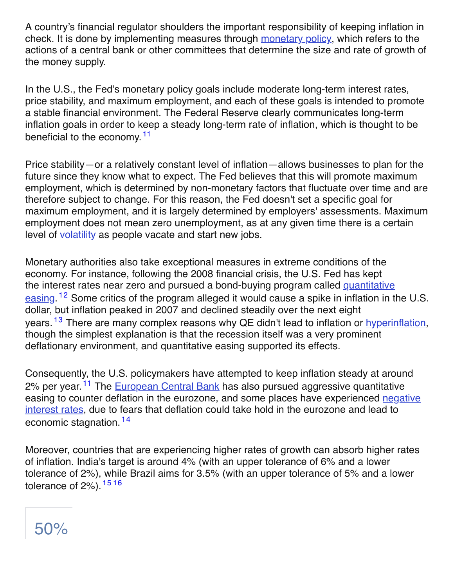A country's financial regulator shoulders the important responsibility of keeping inflation in check. It is done by implementing measures through [monetary](https://www.investopedia.com/terms/m/monetarypolicy.asp) policy, which refers to the actions of a central bank or other committees that determine the size and rate of growth of the money supply.

In the U.S., the Fed's monetary policy goals include moderate long-term interest rates, price stability, and maximum employment, and each of these goals is intended to promote a stable financial environment. The Federal Reserve clearly communicates long-term inflation goals in order to keep a steady long-term rate of inflation, which is thought to be beneficial to the economy.<sup>11</sup>

Price stability—or a relatively constant level of inflation—allows businesses to plan for the future since they know what to expect. The Fed believes that this will promote maximum employment, which is determined by non-monetary factors that fluctuate over time and are therefore subject to change. For this reason, the Fed doesn't set a specific goal for maximum employment, and it is largely determined by employers' assessments. Maximum employment does not mean zero unemployment, as at any given time there is a certain level of [volatility](https://www.investopedia.com/terms/v/volatility.asp) as people vacate and start new jobs.

Monetary authorities also take exceptional measures in extreme conditions of the economy. For instance, following the 2008 financial crisis, the U.S. Fed has kept the interest rates near zero and pursued a [bond-buying](https://www.investopedia.com/terms/q/quantitative-easing.asp) program called quantitative easing. <sup>12</sup> Some critics of the program alleged it would cause a spike in inflation in the U.S. dollar, but inflation peaked in 2007 and declined steadily over the next eight years. <sup>13</sup> There are many complex reasons why QE didn't lead to inflation or **[hyperinflation](https://www.investopedia.com/terms/h/hyperinflation.asp)**, though the simplest explanation is that the recession itself was a very prominent deflationary environment, and quantitative easing supported its effects.

Consequently, the U.S. policymakers have attempted to keep inflation steady at around 2% per year.<sup>11</sup> The [European](https://www.investopedia.com/terms/e/europeancentralbank.asp) Central Bank has also pursued aggressive quantitative easing to counter deflation in the eurozone, and some places have [experienced](https://www.investopedia.com/terms/n/negative-interest-rate-policy-nirp.asp) negative interest rates, due to fears that deflation could take hold in the eurozone and lead to economic stagnation.<sup>14</sup>

Moreover, countries that are experiencing higher rates of growth can absorb higher rates of inflation. India's target is around 4% (with an upper tolerance of 6% and a lower tolerance of 2%), while Brazil aims for 3.5% (with an upper tolerance of 5% and a lower tolerance of 2%). <sup>15 16</sup>

# 50%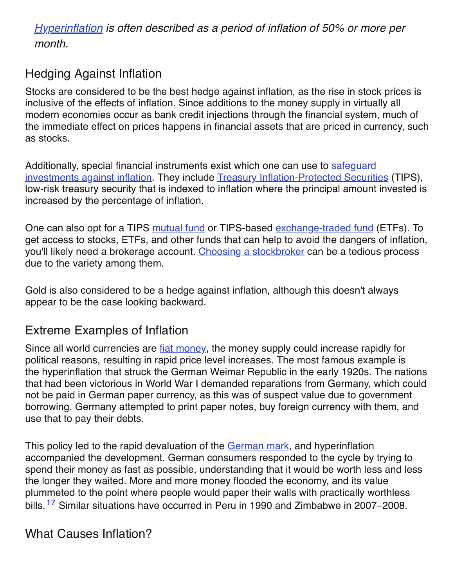*[Hyperinflation](https://www.investopedia.com/are-we-in-for-a-hyperinflation-5093627) is often described as a period of inflation of 50% or more per month.*

# Hedging Against Inflation

Stocks are considered to be the best hedge against inflation, as the rise in stock prices is inclusive of the effects of inflation. Since additions to the money supply in virtually all modern economies occur as bank credit injections through the financial system, much of the immediate effect on prices happens in financial assets that are priced in currency, such as stocks.

Additionally, special financial instruments exist which one can use to safequard investments against inflation. They include Treasury [Inflation-Protected](https://www.investopedia.com/articles/investing/081315/9-top-assets-protection-against-inflation.asp) Securities (TIPS), low-risk treasury security that is indexed to inflation where the principal amount invested is increased by the percentage of inflation.

One can also opt for a TIPS [mutual](https://www.investopedia.com/terms/m/mutualfund.asp) fund or TIPS-based [exchange-traded](https://www.investopedia.com/terms/e/etf.asp) fund (ETFs). To get access to stocks, ETFs, and other funds that can help to avoid the dangers of inflation, you'll likely need a brokerage account. Choosing a [stockbroker](https://www.investopedia.com/best-online-brokers-4587872) can be a tedious process due to the variety among them.

Gold is also considered to be a hedge against inflation, although this doesn't always appear to be the case looking backward.

# Extreme Examples of Inflation

Since all world currencies are fiat [money](https://www.investopedia.com/terms/f/fiatmoney.asp), the money supply could increase rapidly for political reasons, resulting in rapid price level increases. The most famous example is the hyperinflation that struck the German Weimar Republic in the early 1920s. The nations that had been victorious in World War I demanded reparations from Germany, which could not be paid in German paper currency, as this was of suspect value due to government borrowing. Germany attempted to print paper notes, buy foreign currency with them, and use that to pay their debts.

This policy led to the rapid devaluation of the [German](https://www.investopedia.com/terms/d/deutschmark.asp) mark, and hyperinflation accompanied the development. German consumers responded to the cycle by trying to spend their money as fast as possible, understanding that it would be worth less and less the longer they waited. More and more money flooded the economy, and its value plummeted to the point where people would paper their walls with practically worthless bills.<sup>17</sup> Similar situations have occurred in Peru in 1990 and Zimbabwe in 2007–2008.

## What Causes Inflation?